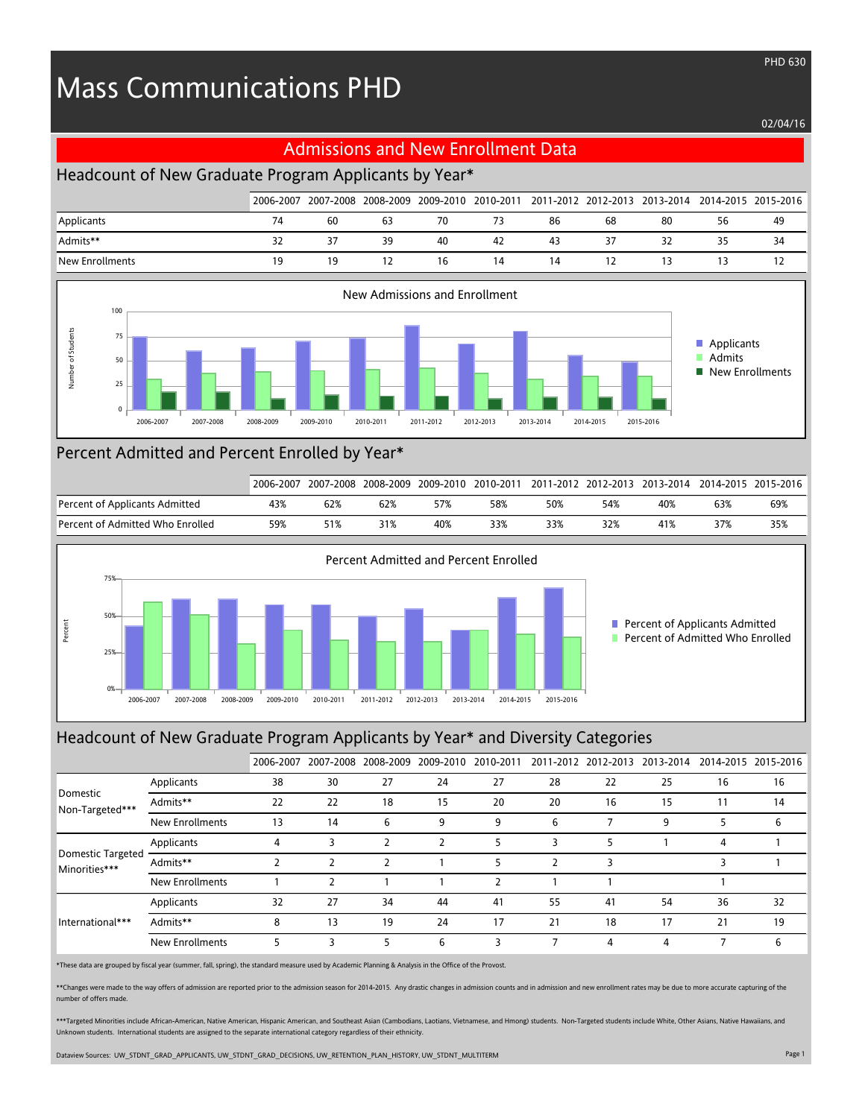# Mass Communications PHD

#### 02/04/16

PHD 630

#### Admissions and New Enrollment Data

## Headcount of New Graduate Program Applicants by Year\*

|                 |    |     |    |    |    |    |    |    |    | 2006-2007 2007-2008 2008-2009 2009-2010 2010-2011 2011-2012 2012-2013 2013-2014 2014-2015 2015-2016 |
|-----------------|----|-----|----|----|----|----|----|----|----|-----------------------------------------------------------------------------------------------------|
| Applicants      | 74 | 60  | 63 | 70 | 73 | 86 | 68 | 80 | 56 | 49                                                                                                  |
| Admits**        | 32 | 37  | 39 | 40 | 42 | 43 |    |    | 35 | 34                                                                                                  |
| New Enrollments | 19 | 1 Q |    | 16 | 14 | 14 |    |    |    |                                                                                                     |



### Percent Admitted and Percent Enrolled by Year\*

|                                  | 2006-2007 | 2007-2008 |     | 2008-2009 2009-2010 |     |     |     | 2010-2011 2011-2012 2012-2013 2013-2014 2014-2015 2015-2016 |     |     |
|----------------------------------|-----------|-----------|-----|---------------------|-----|-----|-----|-------------------------------------------------------------|-----|-----|
| Percent of Applicants Admitted   | 43%       | 62%       | 62% |                     | 58% | 50% | 54% | 40%                                                         | 63% | 69% |
| Percent of Admitted Who Enrolled | 59%       | 51%       | 31% | 40%                 | 33% | 33% | 32% | 41%                                                         | 37% | 35% |



### Headcount of New Graduate Program Applicants by Year\* and Diversity Categories

|                                           |                        | 2006-2007 |    |    |    |    |    |    | 2007-2008 2008-2009 2009-2010 2010-2011 2011-2012 2012-2013 2013-2014 2014-2015 2015-2016 |    |    |
|-------------------------------------------|------------------------|-----------|----|----|----|----|----|----|-------------------------------------------------------------------------------------------|----|----|
|                                           | Applicants             | 38        | 30 | 27 | 24 | 27 | 28 | 22 | 25                                                                                        | 16 | 16 |
| Domestic<br>Non-Targeted***               | Admits**               | 22        | 22 | 18 | 15 | 20 | 20 | 16 | 15                                                                                        |    | 14 |
|                                           | <b>New Enrollments</b> | 13        | 14 | 6  | 9  | 9  | 6  |    | 9                                                                                         |    | 6  |
|                                           | Applicants             | 4         |    |    |    |    |    |    |                                                                                           | 4  |    |
| <b>Domestic Targeted</b><br>Minorities*** | Admits**               |           |    |    |    |    |    |    |                                                                                           |    |    |
|                                           | <b>New Enrollments</b> |           |    |    |    |    |    |    |                                                                                           |    |    |
| International***                          | Applicants             | 32        | 27 | 34 | 44 | 41 | 55 | 41 | 54                                                                                        | 36 | 32 |
|                                           | Admits**               | 8         | 13 | 19 | 24 | 17 | 21 | 18 | 17                                                                                        | 21 | 19 |
|                                           | <b>New Enrollments</b> |           | ς  |    | 6  |    |    | 4  | 4                                                                                         |    | 6  |

\*These data are grouped by fiscal year (summer, fall, spring), the standard measure used by Academic Planning & Analysis in the Office of the Provost.

\*\*Changes were made to the way offers of admission are reported prior to the admission season for 2014-2015. Any drastic changes in admission counts and in admission and new enrollment rates may be due to more accurate cap number of offers made.

\*\*\*Targeted Minorities include African-American, Native American, Hispanic American, and Southeast Asian (Cambodians, Laotians, Vietnamese, and Hmong) students. Non-Targeted students include White, Other Asians, Native Haw Unknown students. International students are assigned to the separate international category regardless of their ethnicity.

Dataview Sources: UW\_STDNT\_GRAD\_APPLICANTS, UW\_STDNT\_GRAD\_DECISIONS, UW\_RETENTION\_PLAN\_HISTORY, UW\_STDNT\_MULTITERM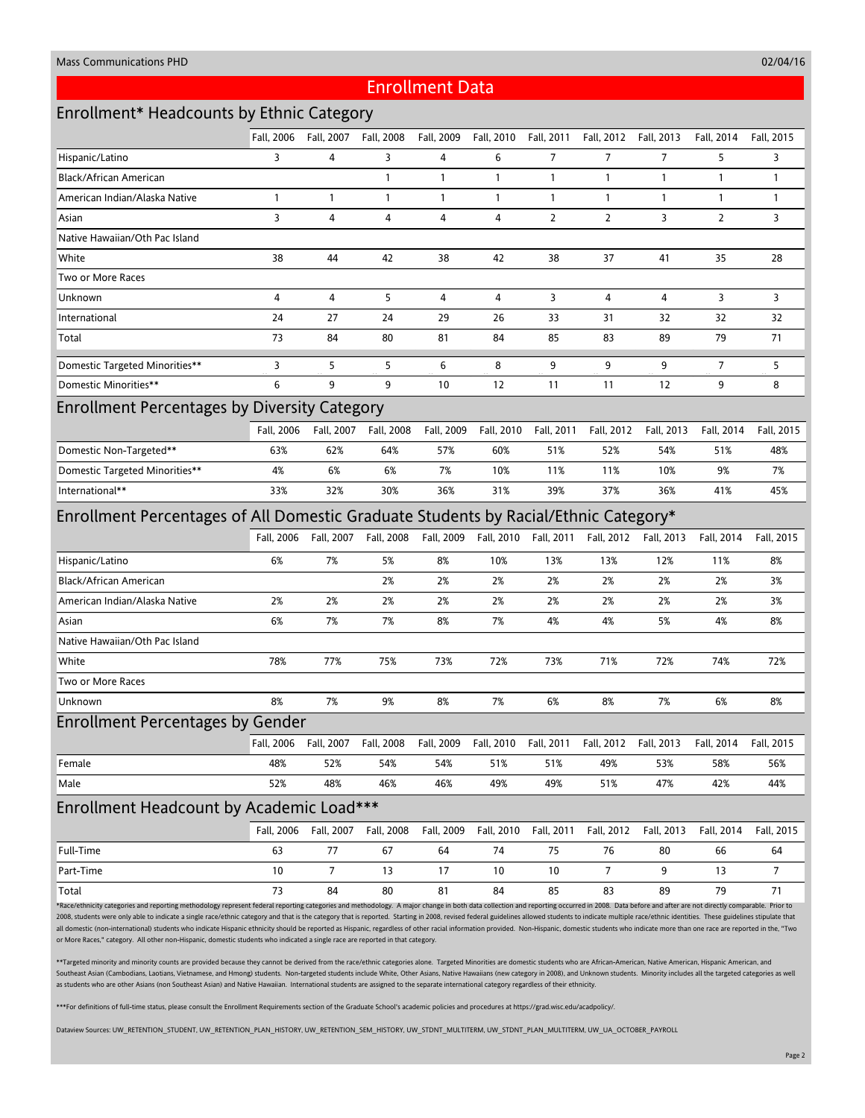02/04/16

## Enrollment Data

## Enrollment\* Headcounts by Ethnic Category

|                                                                                                                                                                                                                                                                                                                                                                                                                                                                 | Fall, 2006   | Fall, 2007   | Fall, 2008 | Fall, 2009   | Fall, 2010   | Fall, 2011     | Fall, 2012     | Fall, 2013     | Fall, 2014     | Fall, 2015   |
|-----------------------------------------------------------------------------------------------------------------------------------------------------------------------------------------------------------------------------------------------------------------------------------------------------------------------------------------------------------------------------------------------------------------------------------------------------------------|--------------|--------------|------------|--------------|--------------|----------------|----------------|----------------|----------------|--------------|
| Hispanic/Latino                                                                                                                                                                                                                                                                                                                                                                                                                                                 | 3            | 4            | 3          | 4            | 6            | $\overline{7}$ | $\overline{7}$ | $\overline{7}$ | 5              | 3            |
| Black/African American                                                                                                                                                                                                                                                                                                                                                                                                                                          |              |              | 1          | $\mathbf{1}$ | 1            | $\mathbf{1}$   | $\mathbf{1}$   | $\mathbf{1}$   | $\mathbf{1}$   | $\mathbf{1}$ |
| American Indian/Alaska Native                                                                                                                                                                                                                                                                                                                                                                                                                                   | $\mathbf{1}$ | $\mathbf{1}$ | 1          | $\mathbf{1}$ | $\mathbf{1}$ | $\mathbf{1}$   | $\mathbf{1}$   | $\overline{1}$ | $\mathbf{1}$   | $\mathbf{1}$ |
| Asian                                                                                                                                                                                                                                                                                                                                                                                                                                                           | 3            | 4            | 4          | 4            | 4            | $\overline{2}$ | $\overline{2}$ | 3              | $\overline{2}$ | 3            |
| Native Hawaiian/Oth Pac Island                                                                                                                                                                                                                                                                                                                                                                                                                                  |              |              |            |              |              |                |                |                |                |              |
| White                                                                                                                                                                                                                                                                                                                                                                                                                                                           | 38           | 44           | 42         | 38           | 42           | 38             | 37             | 41             | 35             | 28           |
| Two or More Races                                                                                                                                                                                                                                                                                                                                                                                                                                               |              |              |            |              |              |                |                |                |                |              |
| Unknown                                                                                                                                                                                                                                                                                                                                                                                                                                                         | 4            | 4            | 5          | 4            | 4            | 3              | 4              | 4              | 3              | 3            |
| International                                                                                                                                                                                                                                                                                                                                                                                                                                                   | 24           | 27           | 24         | 29           | 26           | 33             | 31             | 32             | 32             | 32           |
| Total                                                                                                                                                                                                                                                                                                                                                                                                                                                           | 73           | 84           | 80         | 81           | 84           | 85             | 83             | 89             | 79             | 71           |
| <b>Domestic Targeted Minorities**</b>                                                                                                                                                                                                                                                                                                                                                                                                                           | 3            | 5            | 5          | 6            | 8            | 9              | 9              | 9              | 7              | 5            |
| Domestic Minorities**                                                                                                                                                                                                                                                                                                                                                                                                                                           | 6            | 9            | 9          | 10           | 12           | 11             | 11             | 12             | 9              | 8            |
| <b>Enrollment Percentages by Diversity Category</b>                                                                                                                                                                                                                                                                                                                                                                                                             |              |              |            |              |              |                |                |                |                |              |
|                                                                                                                                                                                                                                                                                                                                                                                                                                                                 | Fall, 2006   | Fall, 2007   | Fall, 2008 | Fall, 2009   | Fall, 2010   | Fall, 2011     | Fall, 2012     | Fall, 2013     | Fall, 2014     | Fall, 2015   |
| Domestic Non-Targeted**                                                                                                                                                                                                                                                                                                                                                                                                                                         | 63%          | 62%          | 64%        | 57%          | 60%          | 51%            | 52%            | 54%            | 51%            | 48%          |
| <b>Domestic Targeted Minorities**</b>                                                                                                                                                                                                                                                                                                                                                                                                                           | 4%           | 6%           | 6%         | 7%           | 10%          | 11%            | 11%            | 10%            | 9%             | 7%           |
| International**                                                                                                                                                                                                                                                                                                                                                                                                                                                 | 33%          | 32%          | 30%        | 36%          | 31%          | 39%            | 37%            | 36%            | 41%            | 45%          |
| Enrollment Percentages of All Domestic Graduate Students by Racial/Ethnic Category*                                                                                                                                                                                                                                                                                                                                                                             |              |              |            |              |              |                |                |                |                |              |
|                                                                                                                                                                                                                                                                                                                                                                                                                                                                 | Fall, 2006   | Fall, 2007   | Fall, 2008 | Fall, 2009   | Fall, 2010   | Fall, 2011     | Fall, 2012     | Fall, 2013     | Fall, 2014     | Fall, 2015   |
| Hispanic/Latino                                                                                                                                                                                                                                                                                                                                                                                                                                                 | 6%           | 7%           | 5%         | 8%           | 10%          | 13%            | 13%            | 12%            | 11%            | 8%           |
| Black/African American                                                                                                                                                                                                                                                                                                                                                                                                                                          |              |              | 2%         | 2%           | 2%           | 2%             | 2%             | 2%             | 2%             | 3%           |
| American Indian/Alaska Native                                                                                                                                                                                                                                                                                                                                                                                                                                   | 2%           | 2%           | 2%         | 2%           | 2%           | 2%             | 2%             | 2%             | 2%             | 3%           |
| Asian                                                                                                                                                                                                                                                                                                                                                                                                                                                           | 6%           | 7%           | 7%         | 8%           | 7%           | 4%             | 4%             | 5%             | 4%             | 8%           |
| Native Hawaiian/Oth Pac Island                                                                                                                                                                                                                                                                                                                                                                                                                                  |              |              |            |              |              |                |                |                |                |              |
| White                                                                                                                                                                                                                                                                                                                                                                                                                                                           | 78%          | 77%          | 75%        | 73%          | 72%          | 73%            | 71%            | 72%            | 74%            | 72%          |
| Two or More Races                                                                                                                                                                                                                                                                                                                                                                                                                                               |              |              |            |              |              |                |                |                |                |              |
| Unknown                                                                                                                                                                                                                                                                                                                                                                                                                                                         | 8%           | 7%           | 9%         | 8%           | 7%           | 6%             | 8%             | 7%             | 6%             | 8%           |
| <b>Enrollment Percentages by Gender</b>                                                                                                                                                                                                                                                                                                                                                                                                                         |              |              |            |              |              |                |                |                |                |              |
|                                                                                                                                                                                                                                                                                                                                                                                                                                                                 | Fall, 2006   | Fall, 2007   | Fall, 2008 | Fall, 2009   | Fall, 2010   | Fall, 2011     | Fall, 2012     | Fall, 2013     | Fall, 2014     | Fall, 2015   |
| Female                                                                                                                                                                                                                                                                                                                                                                                                                                                          | 48%          | 52%          | 54%        | 54%          | 51%          | 51%            | 49%            | 53%            | 58%            | 56%          |
| Male                                                                                                                                                                                                                                                                                                                                                                                                                                                            | 52%          | 48%          | 46%        | 46%          | 49%          | 49%            | 51%            | 47%            | 42%            | 44%          |
| Enrollment Headcount by Academic Load***                                                                                                                                                                                                                                                                                                                                                                                                                        |              |              |            |              |              |                |                |                |                |              |
|                                                                                                                                                                                                                                                                                                                                                                                                                                                                 | Fall, 2006   | Fall, 2007   | Fall, 2008 | Fall, 2009   | Fall, 2010   | Fall, 2011     | Fall, 2012     | Fall, 2013     | Fall, 2014     | Fall, 2015   |
| Full-Time                                                                                                                                                                                                                                                                                                                                                                                                                                                       | 63           | 77           | 67         | 64           | 74           | 75             | 76             | 80             | 66             | 64           |
| Part-Time                                                                                                                                                                                                                                                                                                                                                                                                                                                       | 10           | 7            | 13         | 17           | 10           | 10             | 7              | 9              | 13             | 7            |
| Total                                                                                                                                                                                                                                                                                                                                                                                                                                                           | 73           | 84           | 80         | 81           | 84           | 85             | 83             | 89             | 79             | 71           |
| *Race/ethnicity categories and reporting methodology represent federal reporting categories and methodology. A major change in both data collection and reporting occurred in 2008. Data before and after are not directly com                                                                                                                                                                                                                                  |              |              |            |              |              |                |                |                |                |              |
| 2008, students were only able to indicate a single race/ethnic category and that is the category that is reported. Starting in 2008, revised federal guidelines allowed students to indicate multiple race/ethnic identities.<br>all domestic (non-international) students who indicate Hispanic ethnicity should be reported as Hispanic, regardless of other racial information provided. Non-Hispanic, domestic students who indicate more than one race are |              |              |            |              |              |                |                |                |                |              |

or More Races," category. All other non-Hispanic, domestic students who indicated a single race are reported in that category.

\*\*Targeted minority and minority counts are provided because they cannot be derived from the race/ethnic categories alone. Targeted Minorities are domestic students who are African-American, Native American, Hispanic Ameri Southeast Asian (Cambodians, Laotians, Vietnamese, and Hmong) students. Non-targeted students include White, Other Asians, Native Hawaiians (new category in 2008), and Unknown students. Minority includes all the targeted c as students who are other Asians (non Southeast Asian) and Native Hawaiian. International students are assigned to the separate international category regardless of their ethnicity.

\*\*\*For definitions of full-time status, please consult the Enrollment Requirements section of the Graduate School's academic policies and procedures at https://grad.wisc.edu/acadpolicy/.

Dataview Sources: UW\_RETENTION\_STUDENT, UW\_RETENTION\_PLAN\_HISTORY, UW\_RETENTION\_SEM\_HISTORY, UW\_STDNT\_MULTITERM, UW\_STDNT\_PLAN\_MULTITERM, UW\_UA\_OCTOBER\_PAYROLL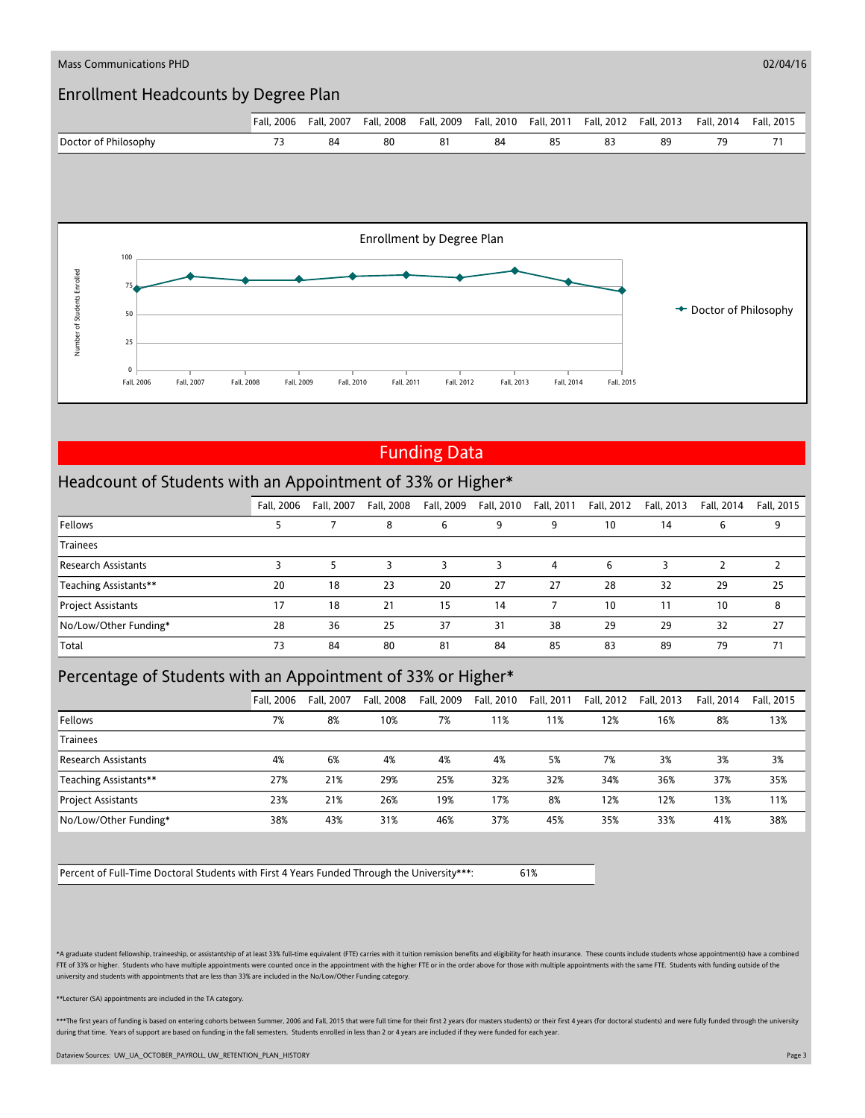

## Funding Data

#### Headcount of Students with an Appointment of 33% or Higher\*

|                            | Fall, 2006 | Fall, 2007 | Fall, 2008 | Fall, 2009 | Fall, 2010 | Fall, 2011 | Fall, 2012 | Fall, 2013 | Fall, 2014 | Fall, 2015 |
|----------------------------|------------|------------|------------|------------|------------|------------|------------|------------|------------|------------|
| Fellows                    |            |            | 8          | 6          |            | 9          | 10         | 14         | 6          | 9          |
| <b>Trainees</b>            |            |            |            |            |            |            |            |            |            |            |
| <b>Research Assistants</b> |            |            |            |            |            | 4          | h          |            |            |            |
| Teaching Assistants**      | 20         | 18         | 23         | 20         | 27         | 27         | 28         | 32         | 29         | 25         |
| Project Assistants         | 17         | 18         | 21         | 15         | 14         |            | 10         | 11         | 10         | 8          |
| No/Low/Other Funding*      | 28         | 36         | 25         | 37         | 31         | 38         | 29         | 29         | 32         | 27         |
| Total                      | 73         | 84         | 80         | 81         | 84         | 85         | 83         | 89         | 79         | 71         |

## Percentage of Students with an Appointment of 33% or Higher\*

|                            | Fall, 2006 | Fall, 2007 | Fall, 2008 | Fall, 2009 | Fall, 2010 | Fall, 2011 | Fall, 2012 | Fall, 2013 | Fall, 2014 | Fall, 2015 |
|----------------------------|------------|------------|------------|------------|------------|------------|------------|------------|------------|------------|
| Fellows                    | 7%         | 8%         | 10%        | 7%         | 11%        | 11%        | 12%        | 16%        | 8%         | 13%        |
| <b>Trainees</b>            |            |            |            |            |            |            |            |            |            |            |
| <b>Research Assistants</b> | 4%         | 6%         | 4%         | 4%         | 4%         | 5%         | 7%         | 3%         | 3%         | 3%         |
| Teaching Assistants**      | 27%        | 21%        | 29%        | 25%        | 32%        | 32%        | 34%        | 36%        | 37%        | 35%        |
| <b>Project Assistants</b>  | 23%        | 21%        | 26%        | 19%        | 17%        | 8%         | 12%        | 12%        | 13%        | 11%        |
| No/Low/Other Funding*      | 38%        | 43%        | 31%        | 46%        | 37%        | 45%        | 35%        | 33%        | 41%        | 38%        |

Percent of Full-Time Doctoral Students with First 4 Years Funded Through the University\*\*\*: 61%

\*A graduate student fellowship, traineeship, or assistantship of at least 33% full-time equivalent (FTE) carries with it tuition remission benefits and eligibility for heath insurance. These counts include students whose a FTE of 33% or higher. Students who have multiple appointments were counted once in the appointment with the higher FTE or in the order above for those with multiple appointments with the same FTE. Students with funding out university and students with appointments that are less than 33% are included in the No/Low/Other Funding category.

\*\*Lecturer (SA) appointments are included in the TA category.

\*\*\*The first years of funding is based on entering cohorts between Summer, 2006 and Fall, 2015 that were full time for their first 2 years (for masters students) or their first 4 years (for doctoral students) and were full during that time. Years of support are based on funding in the fall semesters. Students enrolled in less than 2 or 4 years are included if they were funded for each year

Dataview Sources: UW\_UA\_OCTOBER\_PAYROLL, UW\_RETENTION\_PLAN\_HISTORY